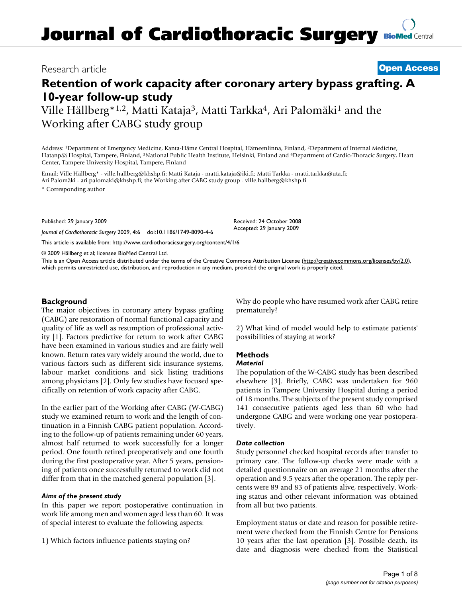# **Journal of Cardiothoracic Surgery [BioMed](http://www.biomedcentral.com/) Central**

## Research article **[Open Access](http://www.biomedcentral.com/info/about/charter/)**

## **Retention of work capacity after coronary artery bypass grafting. A 10-year follow-up study**

Ville Hällberg<sup>\*1,2</sup>, Matti Kataja<sup>3</sup>, Matti Tarkka<sup>4</sup>, Ari Palomäki<sup>1</sup> and the Working after CABG study group

Address: 1Department of Emergency Medicine, Kanta-Häme Central Hospital, Hämeenlinna, Finland, 2Department of Internal Medicine, Hatanpää Hospital, Tampere, Finland, 3National Public Health Institute, Helsinki, Finland and 4Department of Cardio-Thoracic Surgery, Heart Center, Tampere University Hospital, Tampere, Finland

Email: Ville Hällberg\* - ville.hallberg@khshp.fi; Matti Kataja - matti.kataja@iki.fi; Matti Tarkka - matti.tarkka@uta.fi; Ari Palomäki - ari.palomaki@khshp.fi; the Working after CABG study group - ville.hallberg@khshp.fi \* Corresponding author

Published: 29 January 2009 *Journal of Cardiothoracic Surgery* 2009, **4**:6 doi:10.1186/1749-8090-4-6

Received: 24 October 2008 Accepted: 29 January 2009

[This article is available from: http://www.cardiothoracicsurgery.org/content/4/1/6](http://www.cardiothoracicsurgery.org/content/4/1/6)

© 2009 Hällberg et al; licensee BioMed Central Ltd.

This is an Open Access article distributed under the terms of the Creative Commons Attribution License [\(http://creativecommons.org/licenses/by/2.0\)](http://creativecommons.org/licenses/by/2.0), which permits unrestricted use, distribution, and reproduction in any medium, provided the original work is properly cited.

## **Background**

The major objectives in coronary artery bypass grafting (CABG) are restoration of normal functional capacity and quality of life as well as resumption of professional activity [1]. Factors predictive for return to work after CABG have been examined in various studies and are fairly well known. Return rates vary widely around the world, due to various factors such as different sick insurance systems, labour market conditions and sick listing traditions among physicians [2]. Only few studies have focused specifically on retention of work capacity after CABG.

In the earlier part of the Working after CABG (W-CABG) study we examined return to work and the length of continuation in a Finnish CABG patient population. According to the follow-up of patients remaining under 60 years, almost half returned to work successfully for a longer period. One fourth retired preoperatively and one fourth during the first postoperative year. After 5 years, pensioning of patients once successfully returned to work did not differ from that in the matched general population [3].

#### *Aims of the present study*

In this paper we report postoperative continuation in work life among men and women aged less than 60. It was of special interest to evaluate the following aspects:

1) Which factors influence patients staying on?

Why do people who have resumed work after CABG retire prematurely?

2) What kind of model would help to estimate patients' possibilities of staying at work?

## **Methods**

#### *Material*

The population of the W-CABG study has been described elsewhere [3]. Briefly, CABG was undertaken for 960 patients in Tampere University Hospital during a period of 18 months. The subjects of the present study comprised 141 consecutive patients aged less than 60 who had undergone CABG and were working one year postoperatively.

#### *Data collection*

Study personnel checked hospital records after transfer to primary care. The follow-up checks were made with a detailed questionnaire on an average 21 months after the operation and 9.5 years after the operation. The reply percents were 89 and 83 of patients alive, respectively. Working status and other relevant information was obtained from all but two patients.

Employment status or date and reason for possible retirement were checked from the Finnish Centre for Pensions 10 years after the last operation [3]. Possible death, its date and diagnosis were checked from the Statistical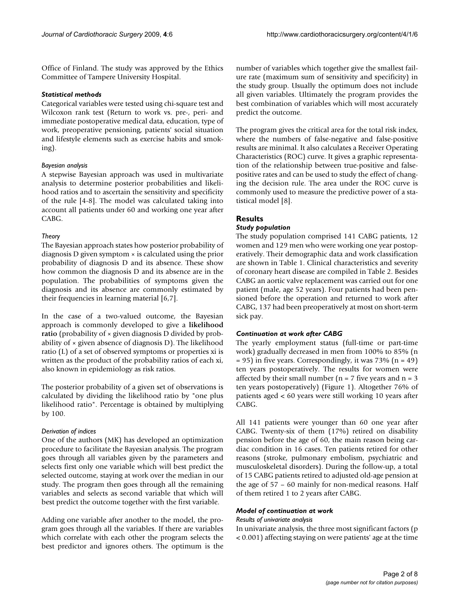Office of Finland. The study was approved by the Ethics Committee of Tampere University Hospital.

## *Statistical methods*

Categorical variables were tested using chi-square test and Wilcoxon rank test (Return to work vs. pre-, peri- and immediate postoperative medical data, education, type of work, preoperative pensioning, patients' social situation and lifestyle elements such as exercise habits and smoking).

## *Bayesian analysis*

A stepwise Bayesian approach was used in multivariate analysis to determine posterior probabilities and likelihood ratios and to ascertain the sensitivity and specificity of the rule [4-8]. The model was calculated taking into account all patients under 60 and working one year after CABG.

## *Theory*

The Bayesian approach states how posterior probability of diagnosis D given symptom × is calculated using the prior probability of diagnosis D and its absence. These show how common the diagnosis D and its absence are in the population. The probabilities of symptoms given the diagnosis and its absence are commonly estimated by their frequencies in learning material [6,7].

In the case of a two-valued outcome, the Bayesian approach is commonly developed to give a **likelihood ratio** (probability of × given diagnosis D divided by probability of  $\times$  given absence of diagnosis D). The likelihood ratio (L) of a set of observed symptoms or properties xi is written as the product of the probability ratios of each xi, also known in epidemiology as risk ratios.

The posterior probability of a given set of observations is calculated by dividing the likelihood ratio by "one plus likelihood ratio". Percentage is obtained by multiplying by 100.

## *Derivation of indices*

One of the authors (MK) has developed an optimization procedure to facilitate the Bayesian analysis. The program goes through all variables given by the parameters and selects first only one variable which will best predict the selected outcome, staying at work over the median in our study. The program then goes through all the remaining variables and selects as second variable that which will best predict the outcome together with the first variable.

Adding one variable after another to the model, the program goes through all the variables. If there are variables which correlate with each other the program selects the best predictor and ignores others. The optimum is the number of variables which together give the smallest failure rate (maximum sum of sensitivity and specificity) in the study group. Usually the optimum does not include all given variables. Ultimately the program provides the best combination of variables which will most accurately predict the outcome.

The program gives the critical area for the total risk index, where the numbers of false-negative and false-positive results are minimal. It also calculates a Receiver Operating Characteristics (ROC) curve. It gives a graphic representation of the relationship between true-positive and falsepositive rates and can be used to study the effect of changing the decision rule. The area under the ROC curve is commonly used to measure the predictive power of a statistical model [8].

## **Results**

## *Study population*

The study population comprised 141 CABG patients, 12 women and 129 men who were working one year postoperatively. Their demographic data and work classification are shown in Table 1. Clinical characteristics and severity of coronary heart disease are compiled in Table 2. Besides CABG an aortic valve replacement was carried out for one patient (male, age 52 years). Four patients had been pensioned before the operation and returned to work after CABG, 137 had been preoperatively at most on short-term sick pay.

## *Continuation at work after CABG*

The yearly employment status (full-time or part-time work) gradually decreased in men from 100% to 85% (n  $= 95$ ) in five years. Correspondingly, it was 73% (n = 49) ten years postoperatively. The results for women were affected by their small number ( $n = 7$  five years and  $n = 3$ ten years postoperatively) (Figure 1). Altogether 76% of patients aged < 60 years were still working 10 years after CABG.

All 141 patients were younger than 60 one year after CABG. Twenty-six of them (17%) retired on disability pension before the age of 60, the main reason being cardiac condition in 16 cases. Ten patients retired for other reasons (stroke, pulmonary embolism, psychiatric and musculoskeletal disorders). During the follow-up, a total of 15 CABG patients retired to adjusted old-age pension at the age of 57 – 60 mainly for non-medical reasons. Half of them retired 1 to 2 years after CABG.

## *Model of continuation at work*

## *Results of univariate analysis*

In univariate analysis, the three most significant factors (p < 0.001) affecting staying on were patients' age at the time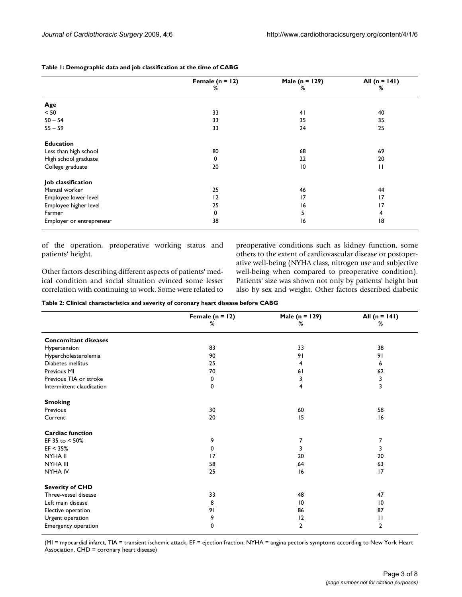|                          | Female $(n = 12)$<br>% | Male ( $n = 129$ )<br>% | All $(n = 141)$<br>% |
|--------------------------|------------------------|-------------------------|----------------------|
| Age                      |                        |                         |                      |
| < 50                     | 33                     | 41                      | 40                   |
| $50 - 54$                | 33                     | 35                      | 35                   |
| $55 - 59$                | 33                     | 24                      | 25                   |
| <b>Education</b>         |                        |                         |                      |
| Less than high school    | 80                     | 68                      | 69                   |
| High school graduate     | 0                      | 22                      | 20                   |
| College graduate         | 20                     | 10                      | $\mathbf{H}$         |
| Job classification       |                        |                         |                      |
| Manual worker            | 25                     | 46                      | 44                   |
| Employee lower level     | 12                     | 17                      | 17                   |
| Employee higher level    | 25                     | 16                      | 17                   |
| Farmer                   | $\mathbf 0$            | 5                       | 4                    |
| Employer or entrepreneur | 38                     | 16                      | 18                   |

#### **Table 1: Demographic data and job classification at the time of CABG**

of the operation, preoperative working status and patients' height.

Other factors describing different aspects of patients' medical condition and social situation evinced some lesser correlation with continuing to work. Some were related to preoperative conditions such as kidney function, some others to the extent of cardiovascular disease or postoperative well-being (NYHA class, nitrogen use and subjective well-being when compared to preoperative condition). Patients' size was shown not only by patients' height but also by sex and weight. Other factors described diabetic

**Table 2: Clinical characteristics and severity of coronary heart disease before CABG**

|                             | Female $(n = 12)$ | Male ( $n = 129$ ) | All $(n = 141)$ |  |  |
|-----------------------------|-------------------|--------------------|-----------------|--|--|
|                             | ℅                 | %                  | %               |  |  |
| <b>Concomitant diseases</b> |                   |                    |                 |  |  |
| Hypertension                | 83                | 33                 | 38              |  |  |
| Hypercholesterolemia        | 90                | 91                 | 91              |  |  |
| Diabetes mellitus           | 25                | 4                  | 6               |  |  |
| Previous MI                 | 70                | 61                 | 62              |  |  |
| Previous TIA or stroke      | 0                 | 3                  | 3               |  |  |
| Intermittent claudication   | 0                 | 4                  | 3               |  |  |
| <b>Smoking</b>              |                   |                    |                 |  |  |
| Previous                    | 30                | 60                 | 58              |  |  |
| Current                     | 20                | 15                 | 16              |  |  |
| <b>Cardiac function</b>     |                   |                    |                 |  |  |
| EF 35 to < 50%              | 9                 | 7                  | 7               |  |  |
| EF < 35%                    | 0                 | 3                  | 3               |  |  |
| NYHA II                     | 17                | 20                 | 20              |  |  |
| NYHA III                    | 58                | 64                 | 63              |  |  |
| <b>NYHA IV</b>              | 25                | 16                 | 17              |  |  |
| <b>Severity of CHD</b>      |                   |                    |                 |  |  |
| Three-vessel disease        | 33                | 48                 | 47              |  |  |
| Left main disease           | 8                 | 10                 | 10              |  |  |
| Elective operation          | 91                | 86                 | 87              |  |  |
| Urgent operation            | 9                 | 12                 | П               |  |  |
| Emergency operation         | 0                 | $\overline{2}$     | $\overline{2}$  |  |  |

(MI = myocardial infarct, TIA = transient ischemic attack, EF = ejection fraction, NYHA = angina pectoris symptoms according to New York Heart Association, CHD = coronary heart disease)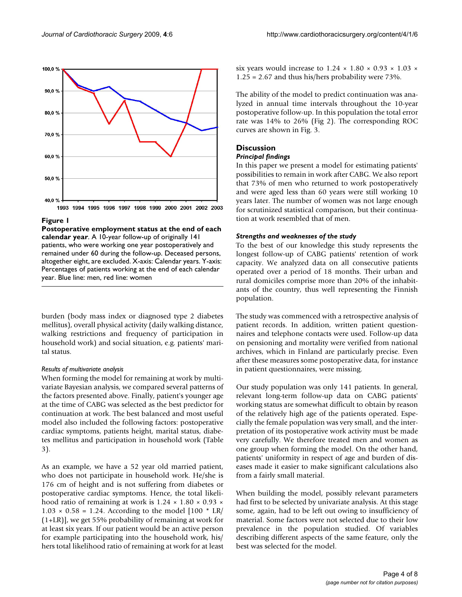

#### 1993 1994 1995 1996 1997 1998 1999 2000 2001 2002 2003

## **Figure 1**

**Postoperative employment status at the end of each calendar year**. A 10-year follow-up of originally 141 patients, who were working one year postoperatively and remained under 60 during the follow-up. Deceased persons, altogether eight, are excluded. X-axis: Calendar years. Y-axis: Percentages of patients working at the end of each calendar year. Blue line: men, red line: women

burden (body mass index or diagnosed type 2 diabetes mellitus), overall physical activity (daily walking distance, walking restrictions and frequency of participation in household work) and social situation, e.g. patients' marital status.

## *Results of multivariate analysis*

When forming the model for remaining at work by multivariate Bayesian analysis, we compared several patterns of the factors presented above. Finally, patient's younger age at the time of CABG was selected as the best predictor for continuation at work. The best balanced and most useful model also included the following factors: postoperative cardiac symptoms, patients height, marital status, diabetes mellitus and participation in household work (Table 3).

As an example, we have a 52 year old married patient, who does not participate in household work. He/she is 176 cm of height and is not suffering from diabetes or postoperative cardiac symptoms. Hence, the total likelihood ratio of remaining at work is  $1.24 \times 1.80 \times 0.93 \times$  $1.03 \times 0.58 = 1.24$ . According to the model  $[100 * LR]$ (1+LR)], we get 55% probability of remaining at work for at least six years. If our patient would be an active person for example participating into the household work, his/ hers total likelihood ratio of remaining at work for at least six years would increase to  $1.24 \times 1.80 \times 0.93 \times 1.03 \times$ 1.25 = 2.67 and thus his/hers probability were 73%.

The ability of the model to predict continuation was analyzed in annual time intervals throughout the 10-year postoperative follow-up. In this population the total error rate was 14% to 26% (Fig 2). The corresponding ROC curves are shown in Fig. 3.

## **Discussion**

## *Principal findings*

In this paper we present a model for estimating patients' possibilities to remain in work after CABG. We also report that 73% of men who returned to work postoperatively and were aged less than 60 years were still working 10 years later. The number of women was not large enough for scrutinized statistical comparison, but their continuation at work resembled that of men.

## *Strengths and weaknesses of the study*

To the best of our knowledge this study represents the longest follow-up of CABG patients' retention of work capacity. We analyzed data on all consecutive patients operated over a period of 18 months. Their urban and rural domiciles comprise more than 20% of the inhabitants of the country, thus well representing the Finnish population.

The study was commenced with a retrospective analysis of patient records. In addition, written patient questionnaires and telephone contacts were used. Follow-up data on pensioning and mortality were verified from national archives, which in Finland are particularly precise. Even after these measures some postoperative data, for instance in patient questionnaires, were missing.

Our study population was only 141 patients. In general, relevant long-term follow-up data on CABG patients' working status are somewhat difficult to obtain by reason of the relatively high age of the patients operated. Especially the female population was very small, and the interpretation of its postoperative work activity must be made very carefully. We therefore treated men and women as one group when forming the model. On the other hand, patients' uniformity in respect of age and burden of diseases made it easier to make significant calculations also from a fairly small material.

When building the model, possibly relevant parameters had first to be selected by univariate analysis. At this stage some, again, had to be left out owing to insufficiency of material. Some factors were not selected due to their low prevalence in the population studied. Of variables describing different aspects of the same feature, only the best was selected for the model.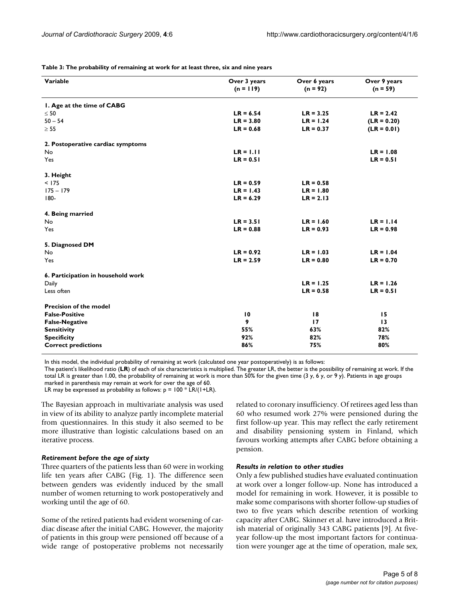**Table 3: The probability of remaining at work for at least three, six and nine years**

| Variable                           | Over 3 years    | Over 6 years | Over 9 years<br>$(n = 59)$ |  |
|------------------------------------|-----------------|--------------|----------------------------|--|
|                                    | $(n = 119)$     | $(n = 92)$   |                            |  |
| I. Age at the time of CABG         |                 |              |                            |  |
| $\leq 50$                          | $LR = 6.54$     | $LR = 3.25$  | $LR = 2.42$                |  |
| $50 - 54$                          | $LR = 3.80$     | $LR = 1.24$  | $(LR = 0.20)$              |  |
| $\geq 55$                          | $LR = 0.68$     | $LR = 0.37$  | $(LR = 0.01)$              |  |
| 2. Postoperative cardiac symptoms  |                 |              |                            |  |
| No                                 | $LR = 1.11$     |              | $LR = 1.08$                |  |
| Yes                                | $LR = 0.51$     |              | $LR = 0.51$                |  |
| 3. Height                          |                 |              |                            |  |
| < 175                              | $LR = 0.59$     | $LR = 0.58$  |                            |  |
| $175 - 179$                        | $LR = 1.43$     | $LR = 1.80$  |                            |  |
| $180 -$                            | $LR = 6.29$     | $LR = 2.13$  |                            |  |
| 4. Being married                   |                 |              |                            |  |
| No                                 | $LR = 3.51$     | $LR = 1.60$  | $LR = 1.14$                |  |
| Yes                                | $LR = 0.88$     | $LR = 0.93$  | $LR = 0.98$                |  |
| 5. Diagnosed DM                    |                 |              |                            |  |
| No                                 | $LR = 0.92$     | $LR = 1.03$  | $LR = 1.04$                |  |
| Yes                                | $LR = 2.59$     | $LR = 0.80$  | $LR = 0.70$                |  |
| 6. Participation in household work |                 |              |                            |  |
| Daily                              |                 | $LR = 1.25$  | $LR = 1.26$                |  |
| Less often                         |                 | $LR = 0.58$  | $LR = 0.51$                |  |
| <b>Precision of the model</b>      |                 |              |                            |  |
| <b>False-Positive</b>              | $\overline{10}$ | 18           | 15                         |  |
| <b>False-Negative</b>              | 9               | 17           | 13                         |  |
| <b>Sensitivity</b>                 | 55%             | 63%          | 82%                        |  |
| <b>Specificity</b>                 | 92%             | 82%          | 78%                        |  |
| <b>Correct predictions</b>         | 86%             | 75%          | 80%                        |  |

In this model, the individual probability of remaining at work (calculated one year postoperatively) is as follows:

The patient's likelihood ratio (**LR**) of each of six characteristics is multiplied. The greater LR, the better is the possibility of remaining at work. If the total LR is greater than 1.00, the probability of remaining at work is more than 50% for the given time (3 y, 6 y, or 9 y). Patients in age groups marked in parenthesis may remain at work for over the age of 60.

LR may be expressed as probability as follows:  $p = 100 * LR/(1+LR)$ .

The Bayesian approach in multivariate analysis was used in view of its ability to analyze partly incomplete material from questionnaires. In this study it also seemed to be more illustrative than logistic calculations based on an iterative process.

## *Retirement before the age of sixty*

Three quarters of the patients less than 60 were in working life ten years after CABG (Fig. 1). The difference seen between genders was evidently induced by the small number of women returning to work postoperatively and working until the age of 60.

Some of the retired patients had evident worsening of cardiac disease after the initial CABG. However, the majority of patients in this group were pensioned off because of a wide range of postoperative problems not necessarily related to coronary insufficiency. Of retirees aged less than 60 who resumed work 27% were pensioned during the first follow-up year. This may reflect the early retirement and disability pensioning system in Finland, which favours working attempts after CABG before obtaining a pension.

#### *Results in relation to other studies*

Only a few published studies have evaluated continuation at work over a longer follow-up. None has introduced a model for remaining in work. However, it is possible to make some comparisons with shorter follow-up studies of two to five years which describe retention of working capacity after CABG. Skinner et al. have introduced a British material of originally 343 CABG patients [9]. At fiveyear follow-up the most important factors for continuation were younger age at the time of operation, male sex,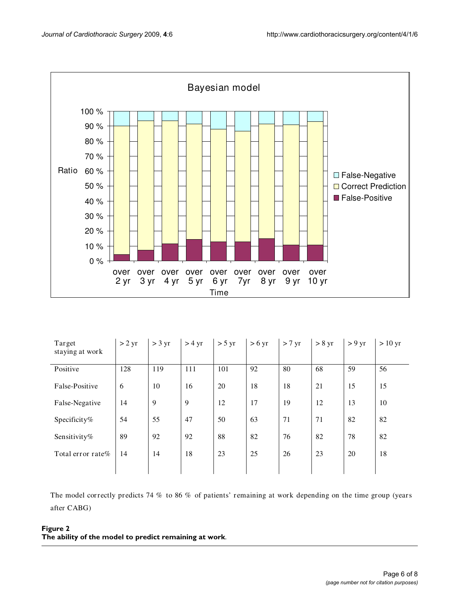

| Target<br>staying at work | $> 2 \text{ yr}$ | $>$ 3 yr | $> 4 \text{ yr}$ | $> 5 \text{ yr}$ | $> 6 \text{ yr}$ | $> 7 \text{ yr}$ | $> 8 \text{ yr}$ | $> 9$ yr | $> 10$ yr |
|---------------------------|------------------|----------|------------------|------------------|------------------|------------------|------------------|----------|-----------|
| Positive                  | 128              | 119      | 111              | 101              | 92               | 80               | 68               | 59       | 56        |
| False-Positive            | 6                | 10       | 16               | 20               | 18               | 18               | 21               | 15       | 15        |
| False-Negative            | 14               | 9        | 9                | 12               | 17               | 19               | 12               | 13       | 10        |
| Specificity%              | 54               | 55       | 47               | 50               | 63               | 71               | 71               | 82       | 82        |
| Sensitivity%              | 89               | 92       | 92               | 88               | 82               | 76               | 82               | 78       | 82        |
| Total error rate%         | 14               | 14       | 18               | 23               | 25               | 26               | 23               | 20       | 18        |
|                           |                  |          |                  |                  |                  |                  |                  |          |           |

The model correctly predicts 74 % to 86 % of patients' remaining at work depending on the time group (years after CABG)

## Figure 2 **The ability of the model to predict remaining at work**.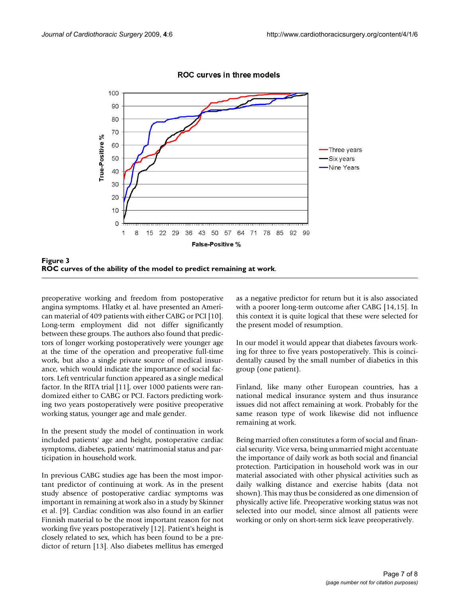

ROC curves in three models

Figure 3 **ROC curves of the ability of the model to predict remaining at work**.

preoperative working and freedom from postoperative angina symptoms. Hlatky et al. have presented an American material of 409 patients with either CABG or PCI [10]. Long-term employment did not differ significantly between these groups. The authors also found that predictors of longer working postoperatively were younger age at the time of the operation and preoperative full-time work, but also a single private source of medical insurance, which would indicate the importance of social factors. Left ventricular function appeared as a single medical factor. In the RITA trial [11], over 1000 patients were randomized either to CABG or PCI. Factors predicting working two years postoperatively were positive preoperative working status, younger age and male gender.

In the present study the model of continuation in work included patients' age and height, postoperative cardiac symptoms, diabetes, patients' matrimonial status and participation in household work.

In previous CABG studies age has been the most important predictor of continuing at work. As in the present study absence of postoperative cardiac symptoms was important in remaining at work also in a study by Skinner et al. [9]. Cardiac condition was also found in an earlier Finnish material to be the most important reason for not working five years postoperatively [12]. Patient's height is closely related to sex, which has been found to be a predictor of return [13]. Also diabetes mellitus has emerged as a negative predictor for return but it is also associated with a poorer long-term outcome after CABG [14,15]. In this context it is quite logical that these were selected for the present model of resumption.

In our model it would appear that diabetes favours working for three to five years postoperatively. This is coincidentally caused by the small number of diabetics in this group (one patient).

Finland, like many other European countries, has a national medical insurance system and thus insurance issues did not affect remaining at work. Probably for the same reason type of work likewise did not influence remaining at work.

Being married often constitutes a form of social and financial security. Vice versa, being unmarried might accentuate the importance of daily work as both social and financial protection. Participation in household work was in our material associated with other physical activities such as daily walking distance and exercise habits (data not shown). This may thus be considered as one dimension of physically active life. Preoperative working status was not selected into our model, since almost all patients were working or only on short-term sick leave preoperatively.